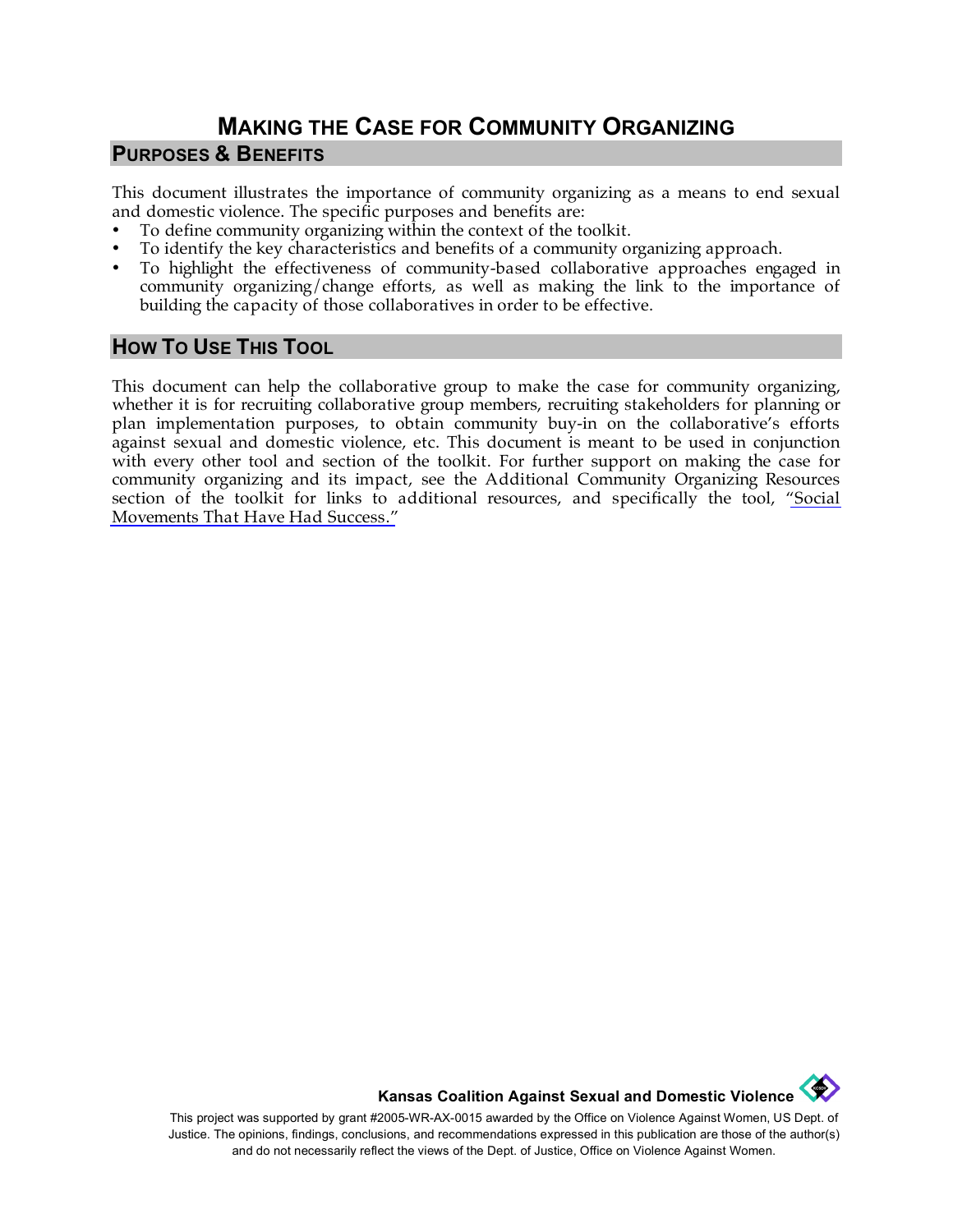## **MAKING THE CASE FOR COMMUNITY ORGANIZING PURPOSES & BENEFITS**

This document illustrates the importance of community organizing as a means to end sexual and domestic violence. The specific purposes and benefits are:

- To define community organizing within the context of the toolkit.
- To identify the key characteristics and benefits of a community organizing approach.
- To highlight the effectiveness of community-based collaborative approaches engaged in community organizing/change efforts, as well as making the link to the importance of building the capacity of those collaboratives in order to be effective.

## **HOW TO USE THIS TOOL**

This document can help the collaborative group to make the case for community organizing, whether it is for recruiting collaborative group members, recruiting stakeholders for planning or plan implementation purposes, to obtain community buy-in on the collaborative's efforts against sexual and domestic violence, etc. This document is meant to be used in conjunction with every other tool and section of the toolkit. For further support on making the case for community organizing and its impact, see the Additional Community Organizing Resources section of the toolkit for links to additional resources, and specifically the tool, ["Social](http://www.kcsdv.org/toolkit/commorgtoolkit.html#Movements)  [Movements That Have Had Success."](http://www.kcsdv.org/toolkit/commorgtoolkit.html#Movements)

**Kansas Coalition Against Sexual and Domestic Violence** 

This project was supported by grant #2005-WR-AX-0015 awarded by the Office on Violence Against Women, US Dept. of Justice. The opinions, findings, conclusions, and recommendations expressed in this publication are those of the author(s) and do not necessarily reflect the views of the Dept. of Justice, Office on Violence Against Women.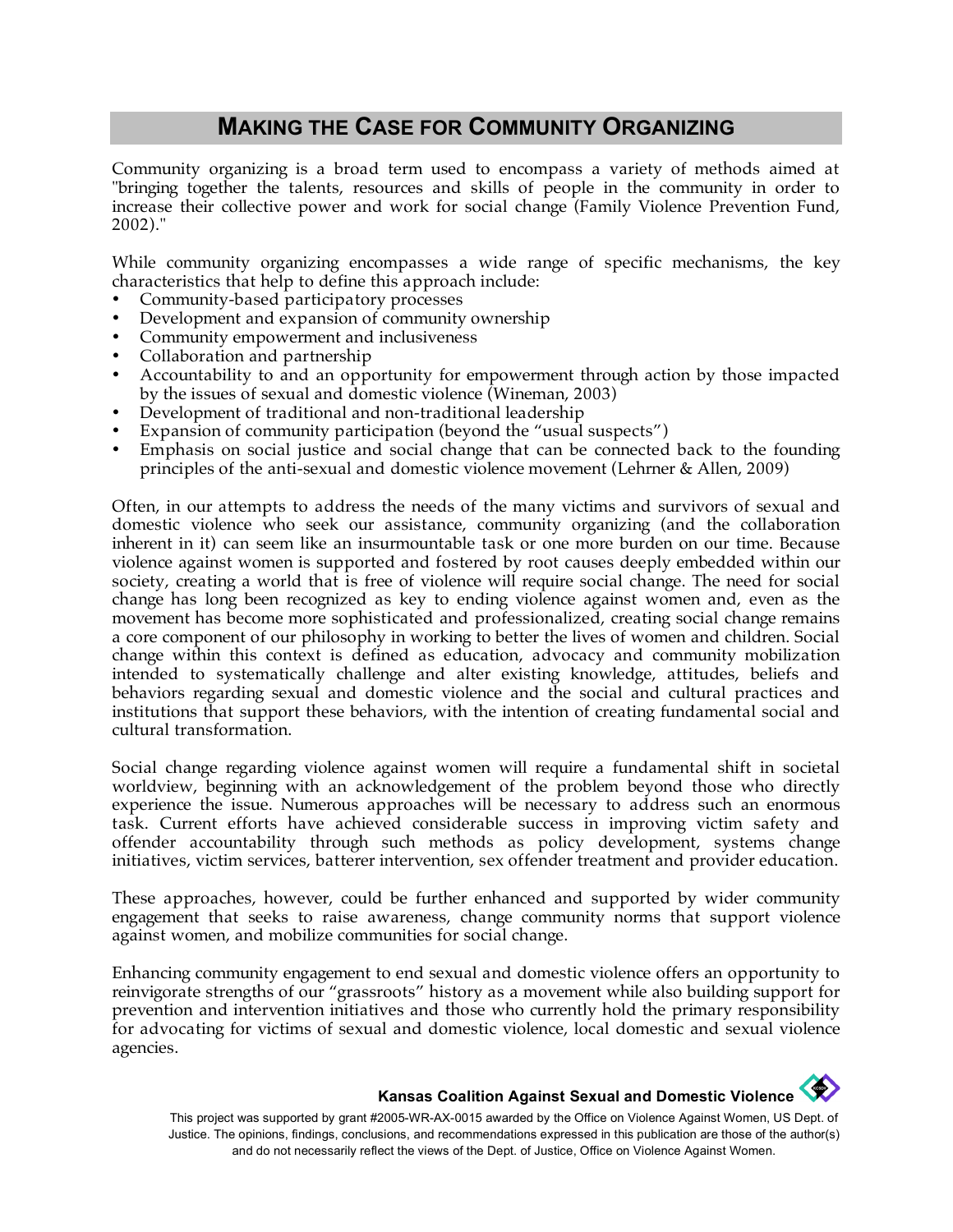## **MAKING THE CASE FOR COMMUNITY ORGANIZING**

Community organizing is a broad term used to encompass a variety of methods aimed at "bringing together the talents, resources and skills of people in the community in order to increase their collective power and work for social change (Family Violence Prevention Fund, 2002)."

While community organizing encompasses a wide range of specific mechanisms, the key characteristics that help to define this approach include:

- Community-based participatory processes
- Development and expansion of community ownership
- Community empowerment and inclusiveness
- Collaboration and partnership
- Accountability to and an opportunity for empowerment through action by those impacted by the issues of sexual and domestic violence (Wineman, 2003)
- Development of traditional and non-traditional leadership
- Expansion of community participation (beyond the "usual suspects")
- Emphasis on social justice and social change that can be connected back to the founding principles of the anti-sexual and domestic violence movement (Lehrner & Allen, 2009)

Often, in our attempts to address the needs of the many victims and survivors of sexual and domestic violence who seek our assistance, community organizing (and the collaboration inherent in it) can seem like an insurmountable task or one more burden on our time. Because violence against women is supported and fostered by root causes deeply embedded within our society, creating a world that is free of violence will require social change. The need for social change has long been recognized as key to ending violence against women and, even as the movement has become more sophisticated and professionalized, creating social change remains a core component of our philosophy in working to better the lives of women and children. Social change within this context is defined as education, advocacy and community mobilization intended to systematically challenge and alter existing knowledge, attitudes, beliefs and behaviors regarding sexual and domestic violence and the social and cultural practices and institutions that support these behaviors, with the intention of creating fundamental social and cultural transformation.

Social change regarding violence against women will require a fundamental shift in societal worldview, beginning with an acknowledgement of the problem beyond those who directly experience the issue. Numerous approaches will be necessary to address such an enormous task. Current efforts have achieved considerable success in improving victim safety and offender accountability through such methods as policy development, systems change initiatives, victim services, batterer intervention, sex offender treatment and provider education.

These approaches, however, could be further enhanced and supported by wider community engagement that seeks to raise awareness, change community norms that support violence against women, and mobilize communities for social change.

Enhancing community engagement to end sexual and domestic violence offers an opportunity to reinvigorate strengths of our "grassroots" history as a movement while also building support for prevention and intervention initiatives and those who currently hold the primary responsibility for advocating for victims of sexual and domestic violence, local domestic and sexual violence agencies.

## **Kansas Coalition Against Sexual and Domestic Violence**

This project was supported by grant #2005-WR-AX-0015 awarded by the Office on Violence Against Women, US Dept. of Justice. The opinions, findings, conclusions, and recommendations expressed in this publication are those of the author(s) and do not necessarily reflect the views of the Dept. of Justice, Office on Violence Against Women.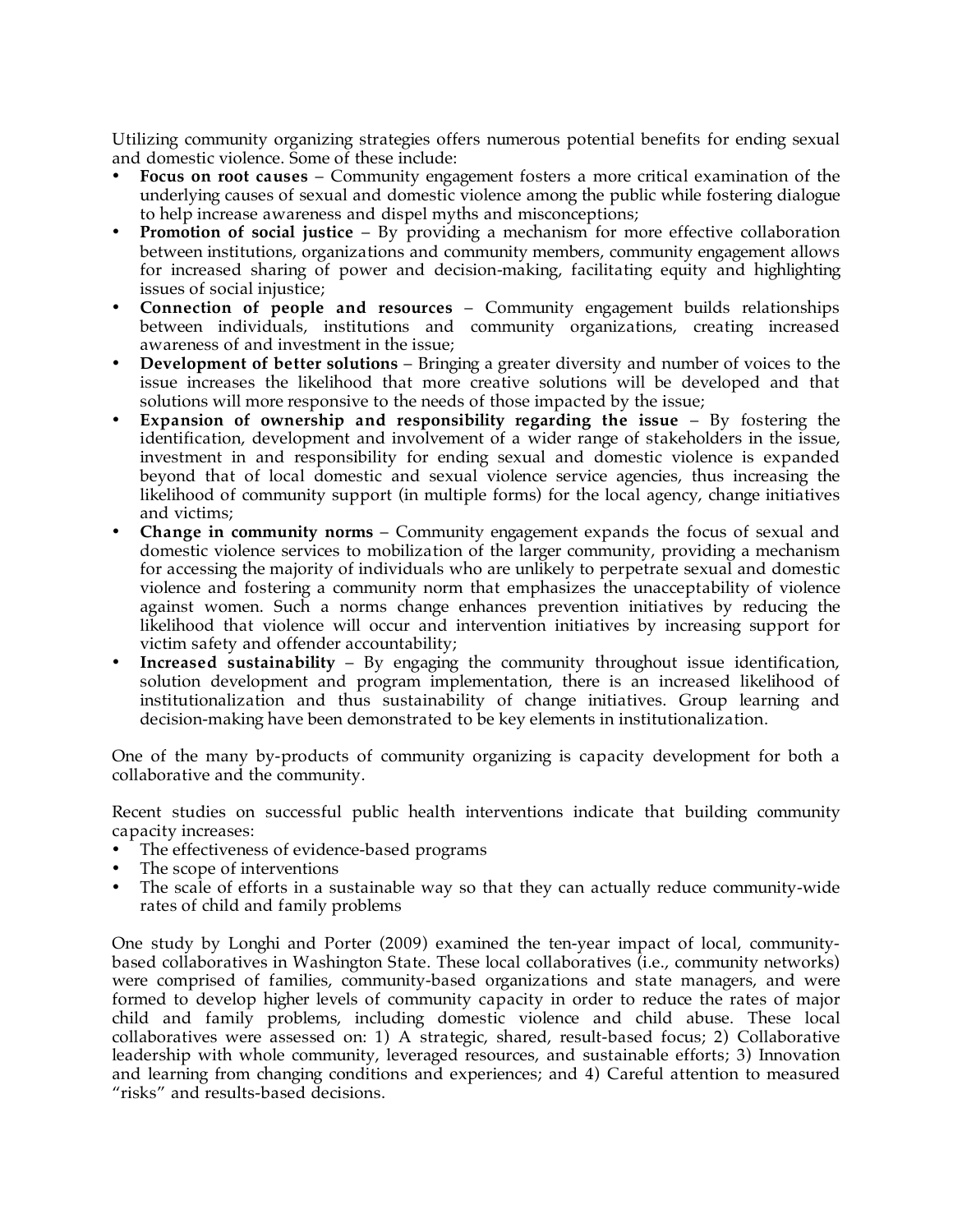Utilizing community organizing strategies offers numerous potential benefits for ending sexual and domestic violence. Some of these include:

- **Focus on root causes** Community engagement fosters a more critical examination of the underlying causes of sexual and domestic violence among the public while fostering dialogue to help increase awareness and dispel myths and misconceptions;
- **Promotion of social justice** By providing a mechanism for more effective collaboration between institutions, organizations and community members, community engagement allows for increased sharing of power and decision-making, facilitating equity and highlighting issues of social injustice;
- **Connection of people and resources** Community engagement builds relationships between individuals, institutions and community organizations, creating increased awareness of and investment in the issue;
- **Development of better solutions** Bringing a greater diversity and number of voices to the issue increases the likelihood that more creative solutions will be developed and that solutions will more responsive to the needs of those impacted by the issue;
- **Expansion of ownership and responsibility regarding the issue** By fostering the identification, development and involvement of a wider range of stakeholders in the issue, investment in and responsibility for ending sexual and domestic violence is expanded beyond that of local domestic and sexual violence service agencies, thus increasing the likelihood of community support (in multiple forms) for the local agency, change initiatives and victims;
- **Change in community norms** Community engagement expands the focus of sexual and domestic violence services to mobilization of the larger community, providing a mechanism for accessing the majority of individuals who are unlikely to perpetrate sexual and domestic violence and fostering a community norm that emphasizes the unacceptability of violence against women. Such a norms change enhances prevention initiatives by reducing the likelihood that violence will occur and intervention initiatives by increasing support for victim safety and offender accountability;
- **Increased sustainability** By engaging the community throughout issue identification, solution development and program implementation, there is an increased likelihood of institutionalization and thus sustainability of change initiatives. Group learning and decision-making have been demonstrated to be key elements in institutionalization.

One of the many by-products of community organizing is capacity development for both a collaborative and the community.

Recent studies on successful public health interventions indicate that building community capacity increases:

- The effectiveness of evidence-based programs
- The scope of interventions
- The scale of efforts in a sustainable way so that they can actually reduce community-wide rates of child and family problems

One study by Longhi and Porter (2009) examined the ten-year impact of local, communitybased collaboratives in Washington State. These local collaboratives (i.e., community networks) were comprised of families, community-based organizations and state managers, and were formed to develop higher levels of community capacity in order to reduce the rates of major child and family problems, including domestic violence and child abuse. These local collaboratives were assessed on: 1) A strategic, shared, result-based focus; 2) Collaborative leadership with whole community, leveraged resources, and sustainable efforts; 3) Innovation and learning from changing conditions and experiences; and 4) Careful attention to measured "risks" and results-based decisions.